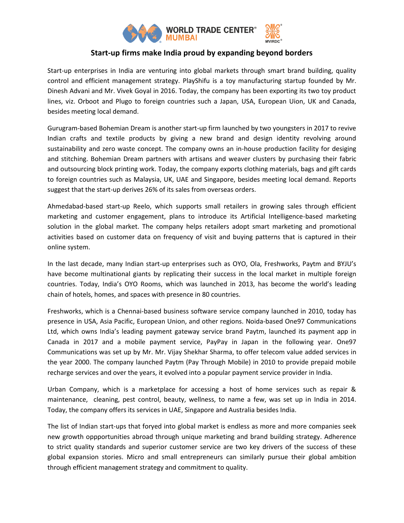

# **Start-up firms make India proud by expanding beyond borders**

Start-up enterprises in India are venturing into global markets through smart brand building, quality control and efficient management strategy. PlayShifu is a toy manufacturing startup founded by Mr. Dinesh Advani and Mr. Vivek Goyal in 2016. Today, the company has been exporting its two toy product lines, viz. Orboot and Plugo to foreign countries such a Japan, USA, European Uion, UK and Canada, besides meeting local demand.

Gurugram-based Bohemian Dream is another start-up firm launched by two youngsters in 2017 to revive Indian crafts and textile products by giving a new brand and design identity revolving around sustainability and zero waste concept. The company owns an in-house production facility for desiging and stitching. Bohemian Dream partners with artisans and weaver clusters by purchasing their fabric and outsourcing block printing work. Today, the company exports clothing materials, bags and gift cards to foreign countries such as Malaysia, UK, UAE and Singapore, besides meeting local demand. Reports suggest that the start-up derives 26% of its sales from overseas orders.

Ahmedabad-based start-up Reelo, which supports small retailers in growing sales through efficient marketing and customer engagement, plans to introduce its Artificial Intelligence-based marketing solution in the global market. The company helps retailers adopt smart marketing and promotional activities based on customer data on frequency of visit and buying patterns that is captured in their online system.

In the last decade, many Indian start-up enterprises such as OYO, Ola, Freshworks, Paytm and BYJU's have become multinational giants by replicating their success in the local market in multiple foreign countries. Today, India's OYO Rooms, which was launched in 2013, has become the world's leading chain of hotels, homes, and spaces with presence in 80 countries.

Freshworks, which is a Chennai-based business software service company launched in 2010, today has presence in USA, Asia Pacific, European Union, and other regions. Noida-based One97 Communications Ltd, which owns India's leading payment gateway service brand Paytm, launched its payment app in Canada in 2017 and a mobile payment service, PayPay in Japan in the following year. One97 Communications was set up by Mr. Mr. Vijay Shekhar Sharma, to offer telecom value added services in the year 2000. The company launched Paytm (Pay Through Mobile) in 2010 to provide prepaid mobile recharge services and over the years, it evolved into a popular payment service provider in India.

Urban Company, which is a marketplace for accessing a host of home services such as repair & maintenance, cleaning, pest control, beauty, wellness, to name a few, was set up in India in 2014. Today, the company offers its services in UAE, Singapore and Australia besides India.

The list of Indian start-ups that foryed into global market is endless as more and more companies seek new growth oppportunities abroad through unique marketing and brand building strategy. Adherence to strict quality standards and superior customer service are two key drivers of the success of these global expansion stories. Micro and small entrepreneurs can similarly pursue their global ambition through efficient management strategy and commitment to quality.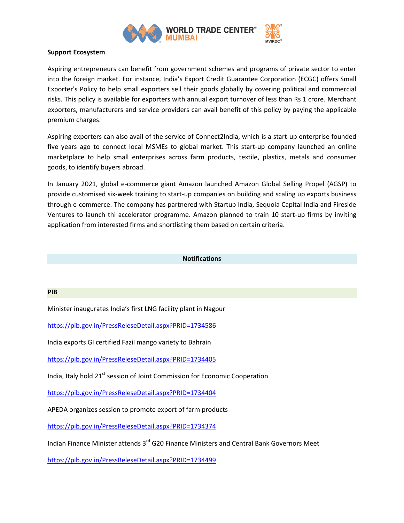

### **Support Ecosystem**

Aspiring entrepreneurs can benefit from government schemes and programs of private sector to enter into the foreign market. For instance, India's Export Credit Guarantee Corporation (ECGC) offers Small Exporter's Policy to help small exporters sell their goods globally by covering political and commercial risks. This policy is available for exporters with annual export turnover of less than Rs 1 crore. Merchant exporters, manufacturers and service providers can avail benefit of this policy by paying the applicable premium charges.

Aspiring exporters can also avail of the service of Connect2India, which is a start-up enterprise founded five years ago to connect local MSMEs to global market. This start-up company launched an online marketplace to help small enterprises across farm products, textile, plastics, metals and consumer goods, to identify buyers abroad.

In January 2021, global e-commerce giant Amazon launched Amazon Global Selling Propel (AGSP) to provide customised six-week training to start-up companies on building and scaling up exports business through e-commerce. The company has partnered with Startup India, Sequoia Capital India and Fireside Ventures to launch thi accelerator programme. Amazon planned to train 10 start-up firms by inviting application from interested firms and shortlisting them based on certain criteria.

#### **Notifications**

#### **PIB**

Minister inaugurates India's first LNG facility plant in Nagpur

<https://pib.gov.in/PressReleseDetail.aspx?PRID=1734586>

India exports GI certified Fazil mango variety to Bahrain

<https://pib.gov.in/PressReleseDetail.aspx?PRID=1734405>

India, Italy hold 21<sup>st</sup> session of Joint Commission for Economic Cooperation

<https://pib.gov.in/PressReleseDetail.aspx?PRID=1734404>

APEDA organizes session to promote export of farm products

<https://pib.gov.in/PressReleseDetail.aspx?PRID=1734374>

Indian Finance Minister attends 3rd G20 Finance Ministers and Central Bank Governors Meet

<https://pib.gov.in/PressReleseDetail.aspx?PRID=1734499>